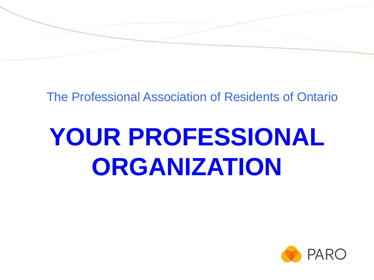

#### The Professional Association of Residents of Ontario

# **YOUR PROFESSIONAL ORGANIZATION**

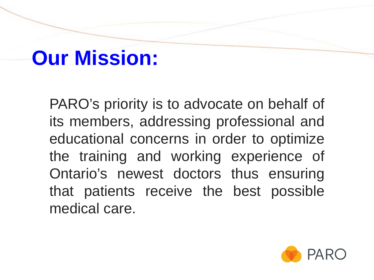## **Our Mission:**

PARO's priority is to advocate on behalf of its members, addressing professional and educational concerns in order to optimize the training and working experience of Ontario's newest doctors thus ensuring that patients receive the best possible medical care.

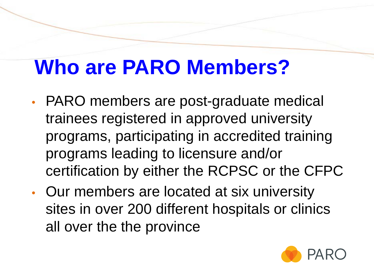## **Who are PARO Members?**

- PARO members are post-graduate medical trainees registered in approved university programs, participating in accredited training programs leading to licensure and/or certification by either the RCPSC or the CFPC
- Our members are located at six university sites in over 200 different hospitals or clinics all over the the province

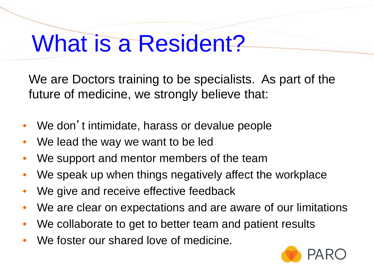# What is a Resident?

We are Doctors training to be specialists. As part of the future of medicine, we strongly believe that:

- We don't intimidate, harass or devalue people
- We lead the way we want to be led
- We support and mentor members of the team
- We speak up when things negatively affect the workplace
- We give and receive effective feedback
- We are clear on expectations and are aware of our limitations
- We collaborate to get to better team and patient results
- We foster our shared love of medicine.

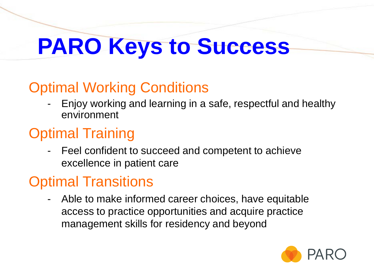# **PARO Keys to Success**

### Optimal Working Conditions

- Enjoy working and learning in a safe, respectful and healthy environment

### Optimal Training

- Feel confident to succeed and competent to achieve excellence in patient care

### Optimal Transitions

- Able to make informed career choices, have equitable access to practice opportunities and acquire practice management skills for residency and beyond

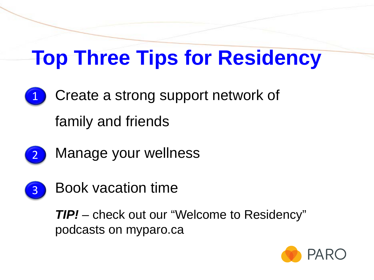## **Top Three Tips for Residency**

Create a strong support network of family and friends 1



Manage your wellness



Book vacation time

*TIP!* – check out our "Welcome to Residency" podcasts on myparo.ca

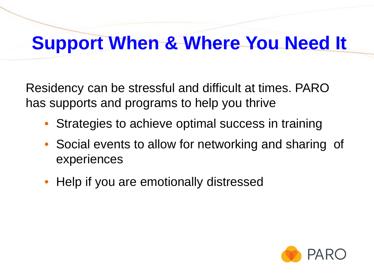### **Support When & Where You Need It**

Residency can be stressful and difficult at times. PARO has supports and programs to help you thrive

- Strategies to achieve optimal success in training
- Social events to allow for networking and sharing of experiences
- Help if you are emotionally distressed

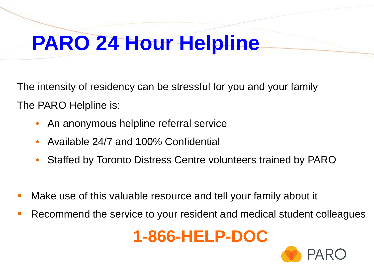## **PARO 24 Hour Helpline**

The intensity of residency can be stressful for you and your family The PARO Helpline is:

- An anonymous helpline referral service
- Available 24/7 and 100% Confidential
- Staffed by Toronto Distress Centre volunteers trained by PARO
- Make use of this valuable resource and tell your family about it
- Recommend the service to your resident and medical student colleagues

### **1-866-HELP-DOC**

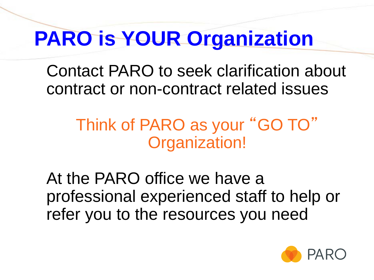## **PARO is YOUR Organization**

Contact PARO to seek clarification about contract or non-contract related issues

### Think of PARO as your "GO TO" Organization!

At the PARO office we have a professional experienced staff to help or refer you to the resources you need

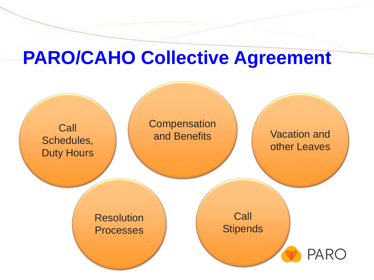### **PARO/CAHO Collective Agreement**

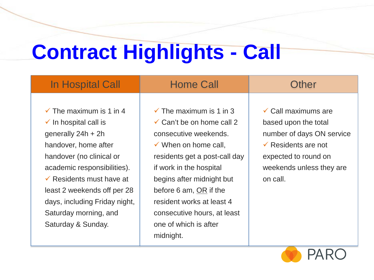# **Contract Highlights - Call**

| In Hospital Call                                                                                                                                                                                                                                                                                                                        | <b>Home Call</b>                                                                                                                                                                                                                                                                                                                               | Other                                                                                                                                                                                 |
|-----------------------------------------------------------------------------------------------------------------------------------------------------------------------------------------------------------------------------------------------------------------------------------------------------------------------------------------|------------------------------------------------------------------------------------------------------------------------------------------------------------------------------------------------------------------------------------------------------------------------------------------------------------------------------------------------|---------------------------------------------------------------------------------------------------------------------------------------------------------------------------------------|
| $\checkmark$ The maximum is 1 in 4<br>$\checkmark$ In hospital call is<br>generally $24h + 2h$<br>handover, home after<br>handover (no clinical or<br>academic responsibilities).<br>$\checkmark$ Residents must have at<br>least 2 weekends off per 28<br>days, including Friday night,<br>Saturday morning, and<br>Saturday & Sunday. | $\checkmark$ The maximum is 1 in 3<br>$\checkmark$ Can't be on home call 2<br>consecutive weekends.<br>$\checkmark$ When on home call,<br>residents get a post-call day<br>if work in the hospital<br>begins after midnight but<br>before 6 am, OR if the<br>resident works at least 4<br>consecutive hours, at least<br>one of which is after | $\checkmark$ Call maximums are<br>based upon the total<br>number of days ON service<br>$\checkmark$ Residents are not<br>expected to round on<br>weekends unless they are<br>on call. |
|                                                                                                                                                                                                                                                                                                                                         | midnight.                                                                                                                                                                                                                                                                                                                                      |                                                                                                                                                                                       |

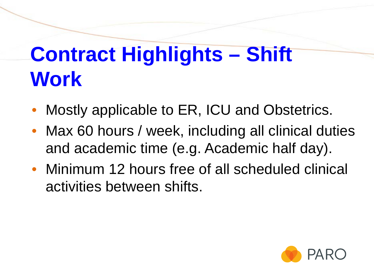## **Contract Highlights – Shift Work**

- Mostly applicable to ER, ICU and Obstetrics.
- Max 60 hours / week, including all clinical duties and academic time (e.g. Academic half day).
- Minimum 12 hours free of all scheduled clinical activities between shifts.

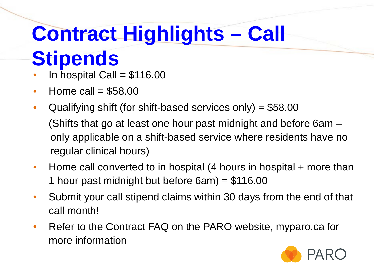# **Contract Highlights – Call**

## **Stipends**

- In hospital Call =  $$116.00$
- Home call  $=$  \$58,00
- Qualifying shift (for shift-based services only) = \$58.00 (Shifts that go at least one hour past midnight and before 6am – only applicable on a shift-based service where residents have no regular clinical hours)
- Home call converted to in hospital (4 hours in hospital + more than 1 hour past midnight but before 6am) = \$116.00
- Submit your call stipend claims within 30 days from the end of that call month!
- Refer to the Contract FAQ on the PARO website, myparo.ca for more information

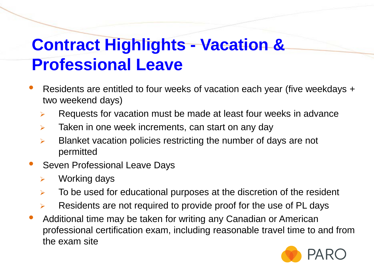### **Contract Highlights - Vacation & Professional Leave**

- Residents are entitled to four weeks of vacation each year (five weekdays + two weekend days)
	- $\triangleright$  Requests for vacation must be made at least four weeks in advance
	- $\triangleright$  Taken in one week increments, can start on any day
	- $\triangleright$  Blanket vacation policies restricting the number of days are not permitted
- Seven Professional Leave Days
	- $\triangleright$  Working days
	- $\triangleright$  To be used for educational purposes at the discretion of the resident
	- Residents are not required to provide proof for the use of PL days
- Additional time may be taken for writing any Canadian or American professional certification exam, including reasonable travel time to and from the exam site

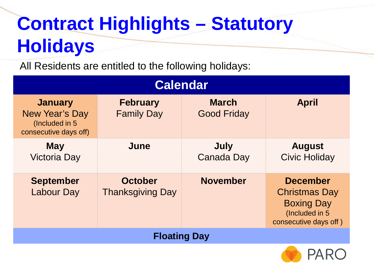## **Contract Highlights – Statutory Holidays**

All Residents are entitled to the following holidays:

| Calendar                                                                     |                                           |                                    |                                                                                                          |  |  |
|------------------------------------------------------------------------------|-------------------------------------------|------------------------------------|----------------------------------------------------------------------------------------------------------|--|--|
| <b>January</b><br>New Year's Day<br>(Included in 5)<br>consecutive days off) | <b>February</b><br><b>Family Day</b>      | <b>March</b><br><b>Good Friday</b> | <b>April</b>                                                                                             |  |  |
| <b>May</b><br><b>Victoria Day</b>                                            | June                                      | July<br>Canada Day                 | <b>August</b><br><b>Civic Holiday</b>                                                                    |  |  |
| <b>September</b><br><b>Labour Day</b>                                        | <b>October</b><br><b>Thanksgiving Day</b> | <b>November</b>                    | <b>December</b><br><b>Christmas Day</b><br><b>Boxing Day</b><br>(Included in 5)<br>consecutive days off) |  |  |
| <b>Floating Day</b>                                                          |                                           |                                    |                                                                                                          |  |  |

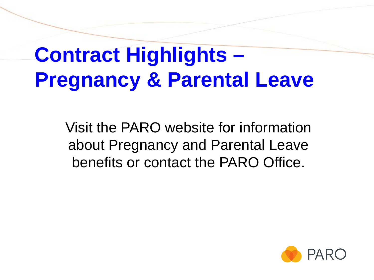## **Contract Highlights – Pregnancy & Parental Leave**

Visit the PARO website for information about Pregnancy and Parental Leave benefits or contact the PARO Office.

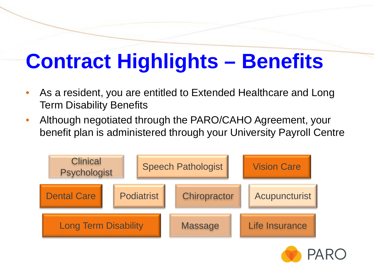# **Contract Highlights – Benefits**

- As a resident, you are entitled to Extended Healthcare and Long Term Disability Benefits
- Although negotiated through the PARO/CAHO Agreement, your benefit plan is administered through your University Payroll Centre



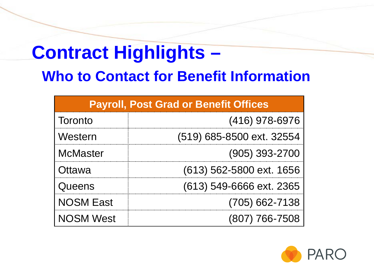# **Contract Highlights –**

### **Who to Contact for Benefit Information**

| <b>Payroll, Post Grad or Benefit Offices</b> |                           |  |  |  |
|----------------------------------------------|---------------------------|--|--|--|
| Toronto                                      | (416) 978-6976            |  |  |  |
| Western                                      | (519) 685-8500 ext. 32554 |  |  |  |
| <b>McMaster</b>                              | $(905)$ 393-2700          |  |  |  |
| Ottawa                                       | (613) 562-5800 ext. 1656  |  |  |  |
| Queens                                       | (613) 549-6666 ext. 2365  |  |  |  |
| <b>NOSM East</b>                             | $(705)$ 662-7138          |  |  |  |
| <b>NOSM West</b>                             | (807) 766-7508            |  |  |  |

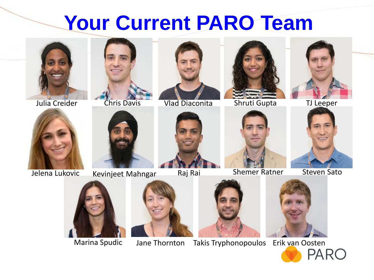### **Your Current PARO Team**







Julia Creider Chris Davis Vlad Diaconita Shruti Gupta TJ Leeper









Jelena Lukovic Kevinjeet Mahngar Raj Rai Shemer Ratner Steven Sato













Marina Spudic Jane Thornton Takis Tryphonopoulos Erik van Oosten<br>PARC

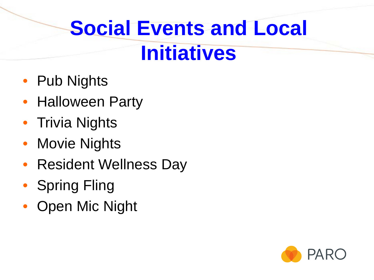# **Social Events and Local Initiatives**

- Pub Nights
- Halloween Party
- Trivia Nights
- Movie Nights
- Resident Wellness Day
- Spring Fling
- Open Mic Night

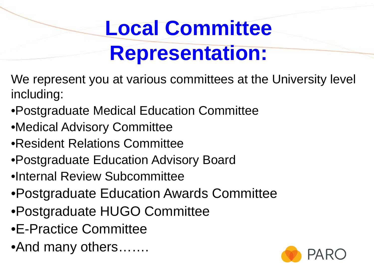# **Local Committee Representation:**

- We represent you at various committees at the University level including:
- •Postgraduate Medical Education Committee
- •Medical Advisory Committee
- •Resident Relations Committee
- •Postgraduate Education Advisory Board
- •Internal Review Subcommittee
- •Postgraduate Education Awards Committee
- •Postgraduate HUGO Committee
- •E-Practice Committee
- •And many others…….

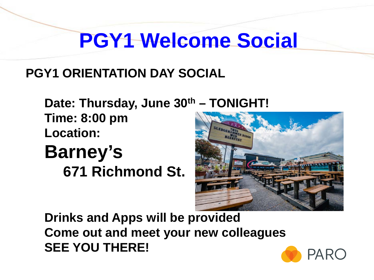## **PGY1 Welcome Social**

#### **PGY1 ORIENTATION DAY SOCIAL**

**Date: Thursday, June 30th – TONIGHT! Time: 8:00 pm Location: Barney's**

**671 Richmond St.**



**Drinks and Apps will be provided Come out and meet your new colleagues SEE YOU THERE!**